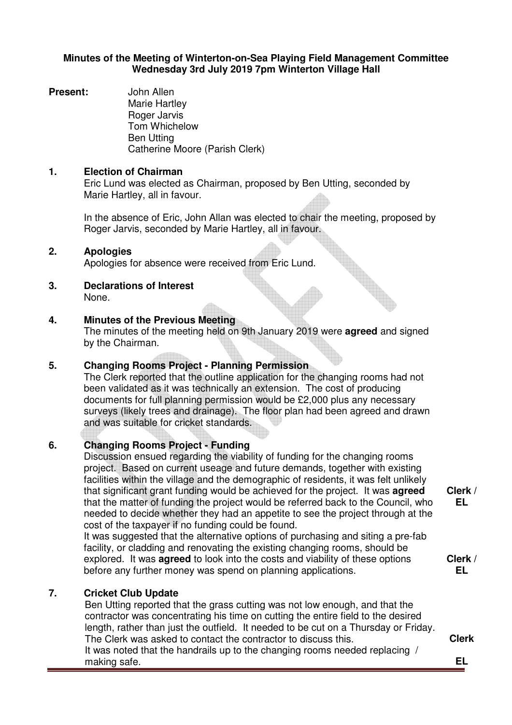## **Minutes of the Meeting of Winterton-on-Sea Playing Field Management Committee Wednesday 3rd July 2019 7pm Winterton Village Hall**

**Present:** John Allen Marie Hartley Roger Jarvis Tom Whichelow Ben Utting Catherine Moore (Parish Clerk)

### **1. Election of Chairman**

Eric Lund was elected as Chairman, proposed by Ben Utting, seconded by Marie Hartley, all in favour.

In the absence of Eric, John Allan was elected to chair the meeting, proposed by Roger Jarvis, seconded by Marie Hartley, all in favour.

### **2. Apologies**

Apologies for absence were received from Eric Lund.

**3. Declarations of Interest** None.

### **4. Minutes of the Previous Meeting**

The minutes of the meeting held on 9th January 2019 were **agreed** and signed by the Chairman.

# **5. Changing Rooms Project - Planning Permission**

The Clerk reported that the outline application for the changing rooms had not been validated as it was technically an extension. The cost of producing documents for full planning permission would be £2,000 plus any necessary surveys (likely trees and drainage). The floor plan had been agreed and drawn and was suitable for cricket standards.

### **6. Changing Rooms Project - Funding**

Discussion ensued regarding the viability of funding for the changing rooms project. Based on current useage and future demands, together with existing facilities within the village and the demographic of residents, it was felt unlikely that significant grant funding would be achieved for the project. It was **agreed**  that the matter of funding the project would be referred back to the Council, who needed to decide whether they had an appetite to see the project through at the cost of the taxpayer if no funding could be found.

It was suggested that the alternative options of purchasing and siting a pre-fab facility, or cladding and renovating the existing changing rooms, should be explored. It was **agreed** to look into the costs and viability of these options before any further money was spend on planning applications.

## **7. Cricket Club Update**

Ben Utting reported that the grass cutting was not low enough, and that the contractor was concentrating his time on cutting the entire field to the desired length, rather than just the outfield. It needed to be cut on a Thursday or Friday. The Clerk was asked to contact the contractor to discuss this. It was noted that the handrails up to the changing rooms needed replacing / making safe.

**Clerk / EL** 

**Clerk / EL** 

**Clerk** 

**EL**